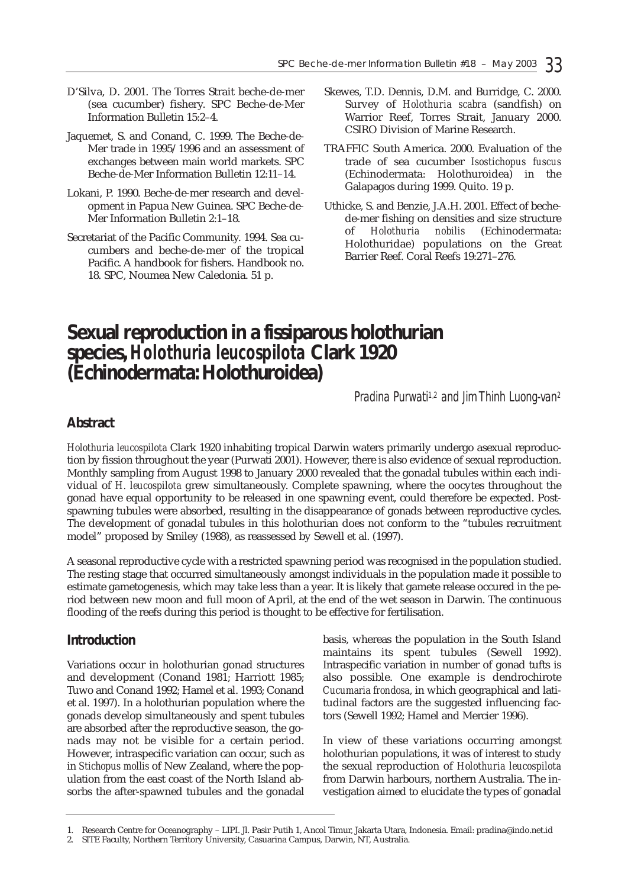- D'Silva, D. 2001. The Torres Strait beche-de-mer (sea cucumber) fishery. SPC Beche-de-Mer Information Bulletin 15:2–4.
- Jaquemet, S. and Conand, C. 1999. The Beche-de-Mer trade in 1995/1996 and an assessment of exchanges between main world markets. SPC Beche-de-Mer Information Bulletin 12:11–14.
- Lokani, P. 1990. Beche-de-mer research and development in Papua New Guinea. SPC Beche-de-Mer Information Bulletin 2:1–18.
- Secretariat of the Pacific Community. 1994. Sea cucumbers and beche-de-mer of the tropical Pacific. A handbook for fishers. Handbook no. 18. SPC, Noumea New Caledonia. 51 p.
- Skewes, T.D. Dennis, D.M. and Burridge, C. 2000. Survey of *Holothuria scabra* (sandfish) on Warrior Reef, Torres Strait, January 2000. CSIRO Division of Marine Research.
- TRAFFIC South America. 2000. Evaluation of the trade of sea cucumber *Isostichopus fuscus* (Echinodermata: Holothuroidea) in the Galapagos during 1999. Quito. 19 p.
- Uthicke, S. and Benzie, J.A.H. 2001. Effect of bechede-mer fishing on densities and size structure of *Holothuria nobilis* (Echinodermata: Holothuridae) populations on the Great Barrier Reef. Coral Reefs 19:271–276.

## **Sexual reproduction in a fissiparous holothurian species,** *Holothuria leucospilota* **Clark 1920 (Echinodermata: Holothuroidea)**

*Pradina Purwati1,2 and Jim Thinh Luong-van2*

## **Abstract**

*Holothuria leucospilota* Clark 1920 inhabiting tropical Darwin waters primarily undergo asexual reproduction by fission throughout the year (Purwati 2001). However, there is also evidence of sexual reproduction. Monthly sampling from August 1998 to January 2000 revealed that the gonadal tubules within each individual of *H. leucospilota* grew simultaneously. Complete spawning, where the oocytes throughout the gonad have equal opportunity to be released in one spawning event, could therefore be expected. Postspawning tubules were absorbed, resulting in the disappearance of gonads between reproductive cycles. The development of gonadal tubules in this holothurian does not conform to the "tubules recruitment model" proposed by Smiley (1988), as reassessed by Sewell et al. (1997).

A seasonal reproductive cycle with a restricted spawning period was recognised in the population studied. The resting stage that occurred simultaneously amongst individuals in the population made it possible to estimate gametogenesis, which may take less than a year. It is likely that gamete release occured in the period between new moon and full moon of April, at the end of the wet season in Darwin. The continuous flooding of the reefs during this period is thought to be effective for fertilisation.

## **Introduction**

Variations occur in holothurian gonad structures and development (Conand 1981; Harriott 1985; Tuwo and Conand 1992; Hamel et al. 1993; Conand et al. 1997). In a holothurian population where the gonads develop simultaneously and spent tubules are absorbed after the reproductive season, the gonads may not be visible for a certain period. However, intraspecific variation can occur, such as in *Stichopus mollis* of New Zealand, where the population from the east coast of the North Island absorbs the after-spawned tubules and the gonadal basis, whereas the population in the South Island maintains its spent tubules (Sewell 1992). Intraspecific variation in number of gonad tufts is also possible. One example is dendrochirote *Cucumaria frondosa*, in which geographical and latitudinal factors are the suggested influencing factors (Sewell 1992; Hamel and Mercier 1996).

In view of these variations occurring amongst holothurian populations, it was of interest to study the sexual reproduction of *Holothuria leucospilota* from Darwin harbours, northern Australia. The investigation aimed to elucidate the types of gonadal

<sup>1.</sup> Research Centre for Oceanography – LIPI. Jl. Pasir Putih 1, Ancol Timur, Jakarta Utara, Indonesia. Email: pradina@indo.net.id

<sup>2.</sup> SITE Faculty, Northern Territory University, Casuarina Campus, Darwin, NT, Australia.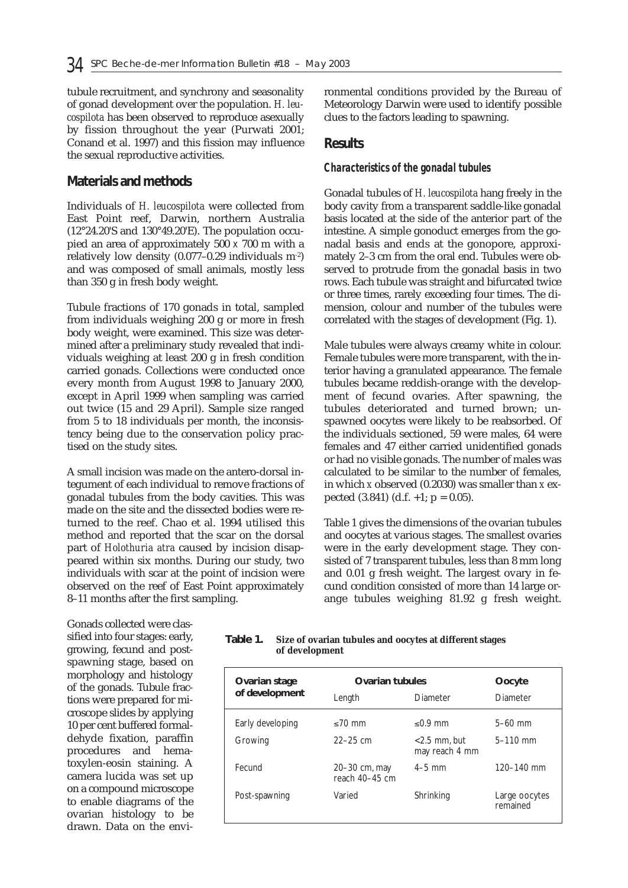tubule recruitment, and synchrony and seasonality of gonad development over the population. *H. leucospilota* has been observed to reproduce asexually by fission throughout the year (Purwati 2001; Conand et al. 1997) and this fission may influence the sexual reproductive activities.

### **Materials and methods**

Individuals of *H. leucospilota* were collected from East Point reef, Darwin, northern Australia (12°24.20'S and 130°49.20'E). The population occupied an area of approximately 500 x 700 m with a relatively low density  $(0.077-0.29$  individuals  $m<sup>2</sup>$ ) and was composed of small animals, mostly less than 350 g in fresh body weight.

Tubule fractions of 170 gonads in total, sampled from individuals weighing 200 g or more in fresh body weight, were examined. This size was determined after a preliminary study revealed that individuals weighing at least 200 g in fresh condition carried gonads. Collections were conducted once every month from August 1998 to January 2000, except in April 1999 when sampling was carried out twice (15 and 29 April). Sample size ranged from 5 to 18 individuals per month, the inconsistency being due to the conservation policy practised on the study sites.

A small incision was made on the antero-dorsal integument of each individual to remove fractions of gonadal tubules from the body cavities. This was made on the site and the dissected bodies were returned to the reef. Chao et al. 1994 utilised this method and reported that the scar on the dorsal part of *Holothuria atra* caused by incision disappeared within six months. During our study, two individuals with scar at the point of incision were observed on the reef of East Point approximately 8–11 months after the first sampling.

ronmental conditions provided by the Bureau of Meteorology Darwin were used to identify possible clues to the factors leading to spawning.

#### **Results**

#### *Characteristics of the gonadal tubules*

Gonadal tubules of *H. leucospilota* hang freely in the body cavity from a transparent saddle-like gonadal basis located at the side of the anterior part of the intestine. A simple gonoduct emerges from the gonadal basis and ends at the gonopore, approximately 2–3 cm from the oral end. Tubules were observed to protrude from the gonadal basis in two rows. Each tubule was straight and bifurcated twice or three times, rarely exceeding four times. The dimension, colour and number of the tubules were correlated with the stages of development (Fig. 1).

Male tubules were always creamy white in colour. Female tubules were more transparent, with the interior having a granulated appearance. The female tubules became reddish-orange with the development of fecund ovaries. After spawning, the tubules deteriorated and turned brown; unspawned oocytes were likely to be reabsorbed. Of the individuals sectioned, 59 were males, 64 were females and 47 either carried unidentified gonads or had no visible gonads. The number of males was calculated to be similar to the number of females, in which *x* observed (0.2030) was smaller than *x* expected  $(3.841)$   $(d.f. +1; p = 0.05)$ .

Table 1 gives the dimensions of the ovarian tubules and oocytes at various stages. The smallest ovaries were in the early development stage. They consisted of 7 transparent tubules, less than 8 mm long and 0.01 g fresh weight. The largest ovary in fecund condition consisted of more than 14 large orange tubules weighing 81.92 g fresh weight.

Gonads collected were classified into four stages: early, growing, fecund and postspawning stage, based on morphology and histology of the gonads. Tubule fractions were prepared for microscope slides by applying 10 per cent buffered formaldehyde fixation, paraffin procedures and hematoxylen-eosin staining. A camera lucida was set up on a compound microscope to enable diagrams of the ovarian histology to be drawn. Data on the envi-

| Table 1. | Size of ovarian tubules and oocytes at different stages |
|----------|---------------------------------------------------------|
|          | of development                                          |

| Ovarian stage    | <b>Ovarian tubules</b>          |                                   | Oocyte                    |
|------------------|---------------------------------|-----------------------------------|---------------------------|
| of development   | Length                          | Diameter                          | Diameter                  |
| Early developing | $< 70$ mm                       | $< 0.9$ mm                        | $5-60$ mm                 |
| Growing          | $22 - 25$ cm                    | $<$ 2.5 mm, but<br>may reach 4 mm | $5 - 110$ mm              |
| Fecund           | 20–30 cm, may<br>reach 40-45 cm | $4-5$ mm                          | $120 - 140$ mm            |
| Post-spawning    | Varied                          | Shrinking                         | Large oocytes<br>remained |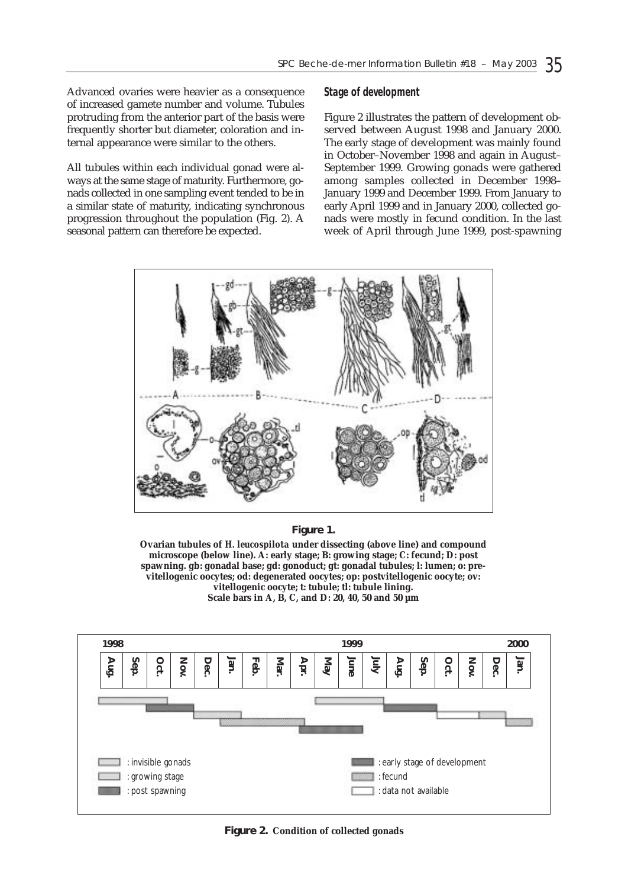Advanced ovaries were heavier as a consequence of increased gamete number and volume. Tubules protruding from the anterior part of the basis were frequently shorter but diameter, coloration and internal appearance were similar to the others.

All tubules within each individual gonad were always at the same stage of maturity. Furthermore, gonads collected in one sampling event tended to be in a similar state of maturity, indicating synchronous progression throughout the population (Fig. 2). A seasonal pattern can therefore be expected.

#### *Stage of development*

Figure 2 illustrates the pattern of development observed between August 1998 and January 2000. The early stage of development was mainly found in October–November 1998 and again in August– September 1999. Growing gonads were gathered among samples collected in December 1998– January 1999 and December 1999. From January to early April 1999 and in January 2000, collected gonads were mostly in fecund condition. In the last week of April through June 1999, post-spawning



**Figure 1.**

**Ovarian tubules of** *H. leucospilota* **under dissecting (above line) and compound microscope (below line). A: early stage; B: growing stage; C: fecund; D: post spawning. gb: gonadal base; gd: gonoduct; gt: gonadal tubules; l: lumen; o: previtellogenic oocytes; od: degenerated oocytes; op: postvitellogenic oocyte; ov: vitellogenic oocyte; t: tubule; tl: tubule lining. Scale bars in A, B, C, and D: 20, 40, 50 and 50 µm**



**Figure 2. Condition of collected gonads**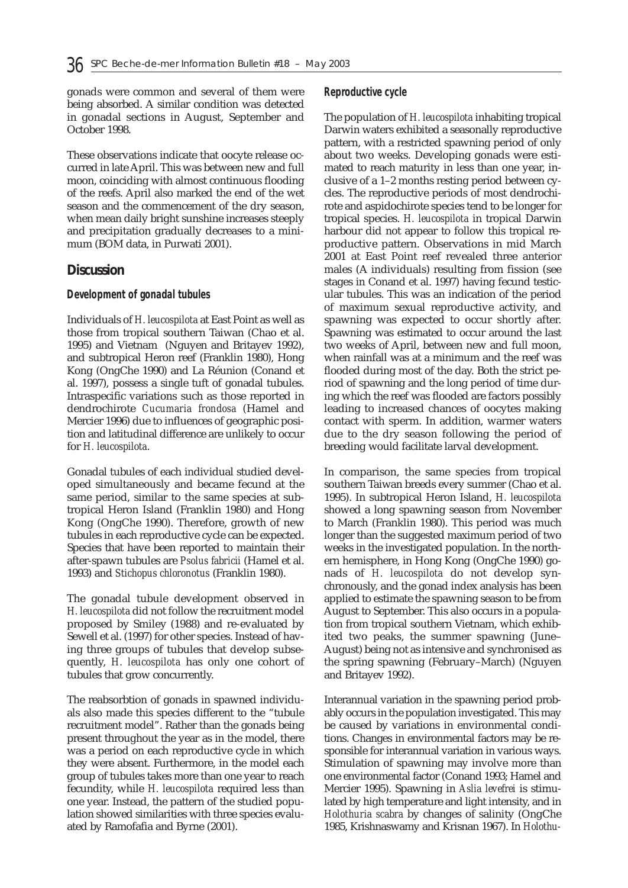gonads were common and several of them were being absorbed. A similar condition was detected in gonadal sections in August, September and October 1998.

These observations indicate that oocyte release occurred in late April. This was between new and full moon, coinciding with almost continuous flooding of the reefs. April also marked the end of the wet season and the commencement of the dry season, when mean daily bright sunshine increases steeply and precipitation gradually decreases to a minimum (BOM data, in Purwati 2001).

#### **Discussion**

#### *Development of gonadal tubules*

Individuals of *H. leucospilota* at East Point as well as those from tropical southern Taiwan (Chao et al. 1995) and Vietnam (Nguyen and Britayev 1992), and subtropical Heron reef (Franklin 1980), Hong Kong (OngChe 1990) and La Réunion (Conand et al. 1997), possess a single tuft of gonadal tubules. Intraspecific variations such as those reported in dendrochirote *Cucumaria frondosa* (Hamel and Mercier 1996) due to influences of geographic position and latitudinal difference are unlikely to occur for *H. leucospilota*.

Gonadal tubules of each individual studied developed simultaneously and became fecund at the same period, similar to the same species at subtropical Heron Island (Franklin 1980) and Hong Kong (OngChe 1990). Therefore, growth of new tubules in each reproductive cycle can be expected. Species that have been reported to maintain their after-spawn tubules are *Psolus fabricii* (Hamel et al. 1993) and *Stichopus chloronotus* (Franklin 1980).

The gonadal tubule development observed in *H. leucospilota* did not follow the recruitment model proposed by Smiley (1988) and re-evaluated by Sewell et al. (1997) for other species. Instead of having three groups of tubules that develop subsequently, *H. leucospilota* has only one cohort of tubules that grow concurrently.

The reabsorbtion of gonads in spawned individuals also made this species different to the "tubule recruitment model". Rather than the gonads being present throughout the year as in the model, there was a period on each reproductive cycle in which they were absent. Furthermore, in the model each group of tubules takes more than one year to reach fecundity, while *H. leucospilota* required less than one year. Instead, the pattern of the studied population showed similarities with three species evaluated by Ramofafia and Byrne (2001).

#### *Reproductive cycle*

The population of *H. leucospilota* inhabiting tropical Darwin waters exhibited a seasonally reproductive pattern, with a restricted spawning period of only about two weeks. Developing gonads were estimated to reach maturity in less than one year, inclusive of a 1–2 months resting period between cycles. The reproductive periods of most dendrochirote and aspidochirote species tend to be longer for tropical species. *H. leucospilota* in tropical Darwin harbour did not appear to follow this tropical reproductive pattern. Observations in mid March 2001 at East Point reef revealed three anterior males (A individuals) resulting from fission (see stages in Conand et al. 1997) having fecund testicular tubules. This was an indication of the period of maximum sexual reproductive activity, and spawning was expected to occur shortly after. Spawning was estimated to occur around the last two weeks of April, between new and full moon, when rainfall was at a minimum and the reef was flooded during most of the day. Both the strict period of spawning and the long period of time during which the reef was flooded are factors possibly leading to increased chances of oocytes making contact with sperm. In addition, warmer waters due to the dry season following the period of breeding would facilitate larval development.

In comparison, the same species from tropical southern Taiwan breeds every summer (Chao et al. 1995). In subtropical Heron Island, *H. leucospilota* showed a long spawning season from November to March (Franklin 1980). This period was much longer than the suggested maximum period of two weeks in the investigated population. In the northern hemisphere, in Hong Kong (OngChe 1990) gonads of *H. leucospilota* do not develop synchronously, and the gonad index analysis has been applied to estimate the spawning season to be from August to September. This also occurs in a population from tropical southern Vietnam, which exhibited two peaks, the summer spawning (June– August) being not as intensive and synchronised as the spring spawning (February–March) (Nguyen and Britayev 1992).

Interannual variation in the spawning period probably occurs in the population investigated. This may be caused by variations in environmental conditions. Changes in environmental factors may be responsible for interannual variation in various ways. Stimulation of spawning may involve more than one environmental factor (Conand 1993; Hamel and Mercier 1995). Spawning in *Aslia levefrei* is stimulated by high temperature and light intensity, and in *Holothuria scabra* by changes of salinity (OngChe 1985, Krishnaswamy and Krisnan 1967). In *Holothu-*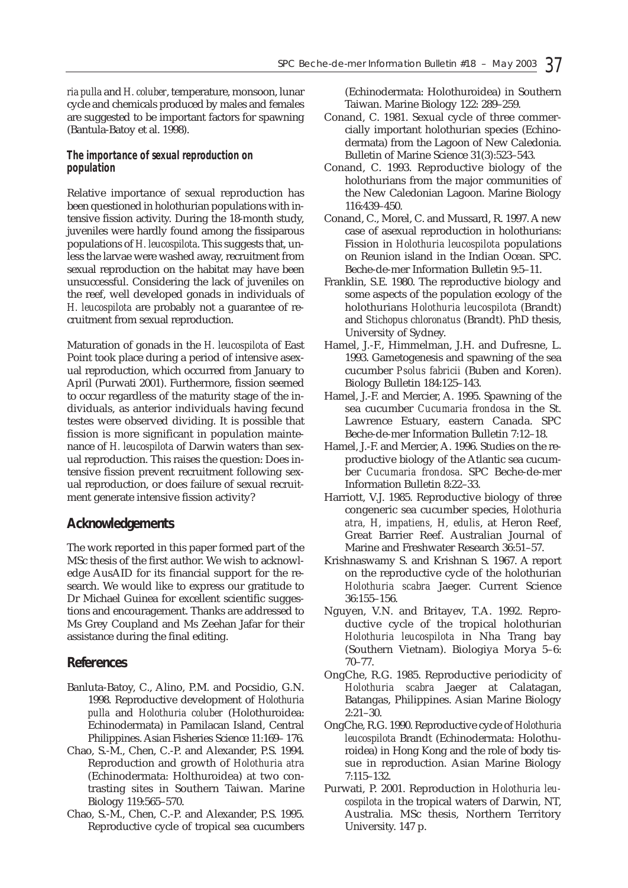*ria pulla* and *H. coluber*, temperature, monsoon, lunar cycle and chemicals produced by males and females are suggested to be important factors for spawning (Bantula-Batoy et al. 1998).

#### *The importance of sexual reproduction on population*

Relative importance of sexual reproduction has been questioned in holothurian populations with intensive fission activity. During the 18-month study, juveniles were hardly found among the fissiparous populations of *H. leucospilota*. This suggests that, unless the larvae were washed away, recruitment from sexual reproduction on the habitat may have been unsuccessful. Considering the lack of juveniles on the reef, well developed gonads in individuals of *H. leucospilota* are probably not a guarantee of recruitment from sexual reproduction.

Maturation of gonads in the *H. leucospilota* of East Point took place during a period of intensive asexual reproduction, which occurred from January to April (Purwati 2001). Furthermore, fission seemed to occur regardless of the maturity stage of the individuals, as anterior individuals having fecund testes were observed dividing. It is possible that fission is more significant in population maintenance of *H. leucospilota* of Darwin waters than sexual reproduction. This raises the question: Does intensive fission prevent recruitment following sexual reproduction, or does failure of sexual recruitment generate intensive fission activity?

## **Acknowledgements**

The work reported in this paper formed part of the MSc thesis of the first author. We wish to acknowledge AusAID for its financial support for the research. We would like to express our gratitude to Dr Michael Guinea for excellent scientific suggestions and encouragement. Thanks are addressed to Ms Grey Coupland and Ms Zeehan Jafar for their assistance during the final editing.

### **References**

- Banluta-Batoy, C., Alino, P.M. and Pocsidio, G.N. 1998. Reproductive development of *Holothuria pulla* and *Holothuria coluber* (Holothuroidea: Echinodermata) in Pamilacan Island, Central Philippines. Asian Fisheries Science 11:169– 176.
- Chao, S.-M., Chen, C.-P. and Alexander, P.S. 1994. Reproduction and growth of *Holothuria atra* (Echinodermata: Holthuroidea) at two contrasting sites in Southern Taiwan. Marine Biology 119:565–570.
- Chao, S.-M., Chen, C.-P. and Alexander, P.S. 1995. Reproductive cycle of tropical sea cucumbers

(Echinodermata: Holothuroidea) in Southern Taiwan. Marine Biology 122: 289–259.

- Conand, C. 1981. Sexual cycle of three commercially important holothurian species (Echinodermata) from the Lagoon of New Caledonia. Bulletin of Marine Science 31(3):523–543.
- Conand, C. 1993. Reproductive biology of the holothurians from the major communities of the New Caledonian Lagoon. Marine Biology 116:439–450.
- Conand, C., Morel, C. and Mussard, R. 1997. A new case of asexual reproduction in holothurians: Fission in *Holothuria leucospilota* populations on Reunion island in the Indian Ocean. SPC. Beche-de-mer Information Bulletin 9:5–11.
- Franklin, S.E. 1980. The reproductive biology and some aspects of the population ecology of the holothurians *Holothuria leucospilota* (Brandt) and *Stichopus chloronatus* (Brandt). PhD thesis, University of Sydney.
- Hamel, J.-F., Himmelman, J.H. and Dufresne, L. 1993. Gametogenesis and spawning of the sea cucumber *Psolus fabricii* (Buben and Koren). Biology Bulletin 184:125–143.
- Hamel, J.-F. and Mercier, A. 1995. Spawning of the sea cucumber *Cucumaria frondosa* in the St. Lawrence Estuary, eastern Canada. SPC Beche-de-mer Information Bulletin 7:12–18.
- Hamel, J.-F. and Mercier, A. 1996. Studies on the reproductive biology of the Atlantic sea cucumber *Cucumaria frondosa*. SPC Beche-de-mer Information Bulletin 8:22–33.
- Harriott, V.J. 1985. Reproductive biology of three congeneric sea cucumber species, *Holothuria atra, H, impatiens, H, edulis*, at Heron Reef, Great Barrier Reef. Australian Journal of Marine and Freshwater Research 36:51–57.
- Krishnaswamy S. and Krishnan S. 1967. A report on the reproductive cycle of the holothurian *Holothuria scabra* Jaeger. Current Science 36:155–156.
- Nguyen, V.N. and Britayev, T.A. 1992. Reproductive cycle of the tropical holothurian *Holothuria leucospilota* in Nha Trang bay (Southern Vietnam). Biologiya Morya 5–6: 70–77.
- OngChe, R.G. 1985. Reproductive periodicity of *Holothuria scabra* Jaeger at Calatagan, Batangas, Philippines. Asian Marine Biology 2:21–30.
- OngChe, R.G. 1990. Reproductive cycle of *Holothuria leucospilota* Brandt (Echinodermata: Holothuroidea) in Hong Kong and the role of body tissue in reproduction. Asian Marine Biology 7:115–132.
- Purwati, P. 2001. Reproduction in *Holothuria leucospilota* in the tropical waters of Darwin, NT, Australia. MSc thesis, Northern Territory University. 147 p.